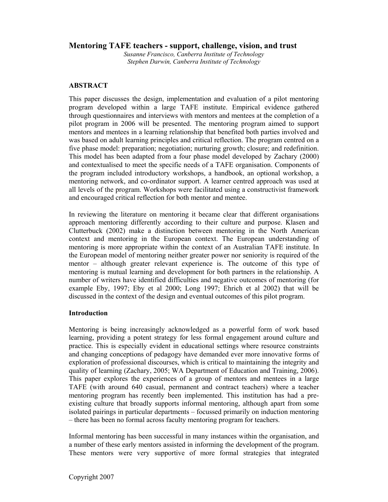# **Mentoring TAFE teachers - support, challenge, vision, and trust**

*Susanne Francisco, Canberra Institute of Technology Stephen Darwin, Canberra Institute of Technology* 

# **ABSTRACT**

This paper discusses the design, implementation and evaluation of a pilot mentoring program developed within a large TAFE institute. Empirical evidence gathered through questionnaires and interviews with mentors and mentees at the completion of a pilot program in 2006 will be presented. The mentoring program aimed to support mentors and mentees in a learning relationship that benefited both parties involved and was based on adult learning principles and critical reflection. The program centred on a five phase model: preparation; negotiation; nurturing growth; closure; and redefinition. This model has been adapted from a four phase model developed by Zachary (2000) and contextualised to meet the specific needs of a TAFE organisation. Components of the program included introductory workshops, a handbook, an optional workshop, a mentoring network, and co-ordinator support. A learner centred approach was used at all levels of the program. Workshops were facilitated using a constructivist framework and encouraged critical reflection for both mentor and mentee.

In reviewing the literature on mentoring it became clear that different organisations approach mentoring differently according to their culture and purpose. Klasen and Clutterbuck (2002) make a distinction between mentoring in the North American context and mentoring in the European context. The European understanding of mentoring is more appropriate within the context of an Australian TAFE institute. In the European model of mentoring neither greater power nor seniority is required of the mentor – although greater relevant experience is. The outcome of this type of mentoring is mutual learning and development for both partners in the relationship. A number of writers have identified difficulties and negative outcomes of mentoring (for example Eby, 1997; Eby et al 2000; Long 1997; Ehrich et al 2002) that will be discussed in the context of the design and eventual outcomes of this pilot program.

# **Introduction**

Mentoring is being increasingly acknowledged as a powerful form of work based learning, providing a potent strategy for less formal engagement around culture and practice. This is especially evident in educational settings where resource constraints and changing conceptions of pedagogy have demanded ever more innovative forms of exploration of professional discourses, which is critical to maintaining the integrity and quality of learning (Zachary, 2005; WA Department of Education and Training, 2006). This paper explores the experiences of a group of mentors and mentees in a large TAFE (with around 640 casual, permanent and contract teachers) where a teacher mentoring program has recently been implemented. This institution has had a preexisting culture that broadly supports informal mentoring, although apart from some isolated pairings in particular departments – focussed primarily on induction mentoring – there has been no formal across faculty mentoring program for teachers.

Informal mentoring has been successful in many instances within the organisation, and a number of these early mentors assisted in informing the development of the program. These mentors were very supportive of more formal strategies that integrated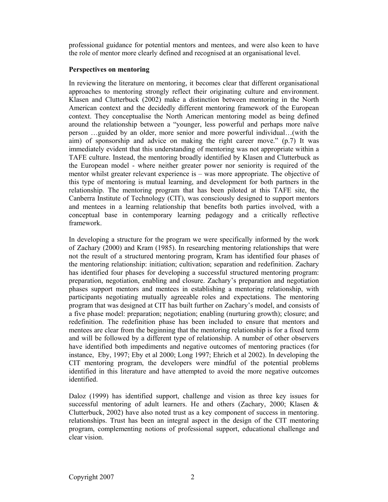professional guidance for potential mentors and mentees, and were also keen to have the role of mentor more clearly defined and recognised at an organisational level.

## **Perspectives on mentoring**

In reviewing the literature on mentoring, it becomes clear that different organisational approaches to mentoring strongly reflect their originating culture and environment. Klasen and Clutterbuck (2002) make a distinction between mentoring in the North American context and the decidedly different mentoring framework of the European context. They conceptualise the North American mentoring model as being defined around the relationship between a "younger, less powerful and perhaps more naïve person …guided by an older, more senior and more powerful individual…(with the aim) of sponsorship and advice on making the right career move." (p.7) It was immediately evident that this understanding of mentoring was not appropriate within a TAFE culture. Instead, the mentoring broadly identified by Klasen and Clutterbuck as the European model - where neither greater power nor seniority is required of the mentor whilst greater relevant experience is – was more appropriate. The objective of this type of mentoring is mutual learning, and development for both partners in the relationship. The mentoring program that has been piloted at this TAFE site, the Canberra Institute of Technology (CIT), was consciously designed to support mentors and mentees in a learning relationship that benefits both parties involved, with a conceptual base in contemporary learning pedagogy and a critically reflective framework.

In developing a structure for the program we were specifically informed by the work of Zachary (2000) and Kram (1985). In researching mentoring relationships that were not the result of a structured mentoring program, Kram has identified four phases of the mentoring relationship: initiation; cultivation; separation and redefinition. Zachary has identified four phases for developing a successful structured mentoring program: preparation, negotiation, enabling and closure. Zachary's preparation and negotiation phases support mentors and mentees in establishing a mentoring relationship, with participants negotiating mutually agreeable roles and expectations. The mentoring program that was designed at CIT has built further on Zachary's model, and consists of a five phase model: preparation; negotiation; enabling (nurturing growth); closure; and redefinition. The redefinition phase has been included to ensure that mentors and mentees are clear from the beginning that the mentoring relationship is for a fixed term and will be followed by a different type of relationship. A number of other observers have identified both impediments and negative outcomes of mentoring practices (for instance, Eby, 1997; Eby et al 2000; Long 1997; Ehrich et al 2002). In developing the CIT mentoring program, the developers were mindful of the potential problems identified in this literature and have attempted to avoid the more negative outcomes identified.

Daloz (1999) has identified support, challenge and vision as three key issues for successful mentoring of adult learners. He and others (Zachary, 2000; Klasen & Clutterbuck, 2002) have also noted trust as a key component of success in mentoring. relationships. Trust has been an integral aspect in the design of the CIT mentoring program, complementing notions of professional support, educational challenge and clear vision.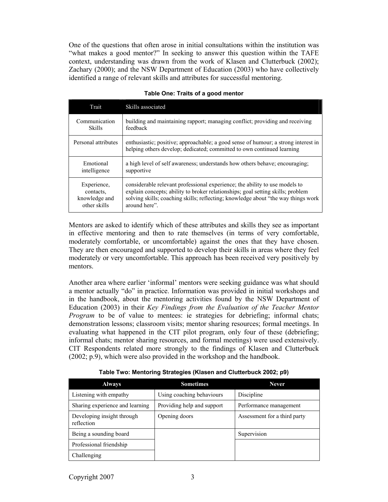One of the questions that often arose in initial consultations within the institution was "what makes a good mentor?" In seeking to answer this question within the TAFE context, understanding was drawn from the work of Klasen and Clutterbuck (2002); Zachary (2000); and the NSW Department of Education (2003) who have collectively identified a range of relevant skills and attributes for successful mentoring.

| Trait               | Skills associated                                                                                                                                            |
|---------------------|--------------------------------------------------------------------------------------------------------------------------------------------------------------|
| Communication       | building and maintaining rapport; managing conflict; providing and receiving                                                                                 |
| Skills              | feedback                                                                                                                                                     |
| Personal attributes | enthusiastic; positive; approachable; a good sense of humour; a strong interest in<br>helping others develop; dedicated; committed to own continued learning |
| Emotional           | a high level of self awareness; understands how others behave; encouraging;                                                                                  |
| intelligence        | supportive                                                                                                                                                   |
| Experience,         | considerable relevant professional experience; the ability to use models to                                                                                  |
| contacts.           | explain concepts; ability to broker relationships; goal setting skills; problem                                                                              |
| knowledge and       | solving skills; coaching skills; reflecting; knowledge about "the way things work                                                                            |
| other skills        | around here".                                                                                                                                                |

## **Table One: Traits of a good mentor**

Mentors are asked to identify which of these attributes and skills they see as important in effective mentoring and then to rate themselves (in terms of very comfortable, moderately comfortable, or uncomfortable) against the ones that they have chosen. They are then encouraged and supported to develop their skills in areas where they feel moderately or very uncomfortable. This approach has been received very positively by mentors.

Another area where earlier 'informal' mentors were seeking guidance was what should a mentor actually "do" in practice. Information was provided in initial workshops and in the handbook, about the mentoring activities found by the NSW Department of Education (2003) in their *Key Findings from the Evaluation of the Teacher Mentor Program* to be of value to mentees: ie strategies for debriefing; informal chats; demonstration lessons; classroom visits; mentor sharing resources; formal meetings. In evaluating what happened in the CIT pilot program, only four of these (debriefing; informal chats; mentor sharing resources, and formal meetings) were used extensively. CIT Respondents related more strongly to the findings of Klasen and Clutterbuck (2002; p.9), which were also provided in the workshop and the handbook.

|  | Table Two: Mentoring Strategies (Klasen and Clutterbuck 2002; p9) |
|--|-------------------------------------------------------------------|
|--|-------------------------------------------------------------------|

| <b>Always</b>                            | <b>Sometimes</b>           | <b>Never</b>                 |  |
|------------------------------------------|----------------------------|------------------------------|--|
| Listening with empathy                   | Using coaching behaviours  | Discipline                   |  |
| Sharing experience and learning          | Providing help and support | Performance management       |  |
| Developing insight through<br>reflection | Opening doors              | Assessment for a third party |  |
| Being a sounding board                   |                            | Supervision                  |  |
| Professional friendship                  |                            |                              |  |
| Challenging                              |                            |                              |  |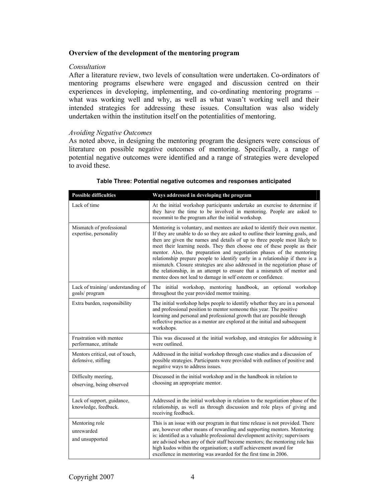## **Overview of the development of the mentoring program**

#### *Consultation*

After a literature review, two levels of consultation were undertaken. Co-ordinators of mentoring programs elsewhere were engaged and discussion centred on their experiences in developing, implementing, and co-ordinating mentoring programs – what was working well and why, as well as what wasn't working well and their intended strategies for addressing these issues. Consultation was also widely undertaken within the institution itself on the potentialities of mentoring.

### *Avoiding Negative Outcomes*

As noted above, in designing the mentoring program the designers were conscious of literature on possible negative outcomes of mentoring. Specifically, a range of potential negative outcomes were identified and a range of strategies were developed to avoid these.

| <b>Possible difficulties</b>                           | Ways addressed in developing the program                                                                                                                                                                                                                                                                                                                                                                                                                                                                                                                                                                                                                                                                    |  |
|--------------------------------------------------------|-------------------------------------------------------------------------------------------------------------------------------------------------------------------------------------------------------------------------------------------------------------------------------------------------------------------------------------------------------------------------------------------------------------------------------------------------------------------------------------------------------------------------------------------------------------------------------------------------------------------------------------------------------------------------------------------------------------|--|
| Lack of time                                           | At the initial workshop participants undertake an exercise to determine if<br>they have the time to be involved in mentoring. People are asked to<br>recommit to the program after the initial workshop.                                                                                                                                                                                                                                                                                                                                                                                                                                                                                                    |  |
| Mismatch of professional<br>expertise, personality     | Mentoring is voluntary, and mentees are asked to identify their own mentor.<br>If they are unable to do so they are asked to outline their learning goals, and<br>then are given the names and details of up to three people most likely to<br>meet their learning needs. They then choose one of these people as their<br>mentor. Also, the preparation and negotiation phases of the mentoring<br>relationship prepare people to identify early in a relationship if there is a<br>mismatch. Closure strategies are also addressed in the negotiation phase of<br>the relationship, in an attempt to ensure that a mismatch of mentor and<br>mentee does not lead to damage in self esteem or confidence. |  |
| Lack of training/ understanding of<br>goals/program    | The initial workshop, mentoring handbook, an optional workshop<br>throughout the year provided mentor training.                                                                                                                                                                                                                                                                                                                                                                                                                                                                                                                                                                                             |  |
| Extra burden, responsibility                           | The initial workshop helps people to identify whether they are in a personal<br>and professional position to mentor someone this year. The positive<br>learning and personal and professional growth that are possible through<br>reflective practice as a mentor are explored at the initial and subsequent<br>workshops.                                                                                                                                                                                                                                                                                                                                                                                  |  |
| Frustration with mentee<br>performance, attitude       | This was discussed at the initial workshop, and strategies for addressing it<br>were outlined.                                                                                                                                                                                                                                                                                                                                                                                                                                                                                                                                                                                                              |  |
| Mentors critical, out of touch,<br>defensive, stifling | Addressed in the initial workshop through case studies and a discussion of<br>possible strategies. Participants were provided with outlines of positive and<br>negative ways to address issues.                                                                                                                                                                                                                                                                                                                                                                                                                                                                                                             |  |
| Difficulty meeting,<br>observing, being observed       | Discussed in the initial workshop and in the handbook in relation to<br>choosing an appropriate mentor.                                                                                                                                                                                                                                                                                                                                                                                                                                                                                                                                                                                                     |  |
| Lack of support, guidance,<br>knowledge, feedback.     | Addressed in the initial workshop in relation to the negotiation phase of the<br>relationship, as well as through discussion and role plays of giving and<br>receiving feedback.                                                                                                                                                                                                                                                                                                                                                                                                                                                                                                                            |  |
| Mentoring role<br>unrewarded<br>and unsupported        | This is an issue with our program in that time release is not provided. There<br>are, however other means of rewarding and supporting mentors. Mentoring<br>is: identified as a valuable professional development activity; supervisors<br>are advised when any of their staff become mentors; the mentoring role has<br>high kudos within the organisation; a staff achievement award for<br>excellence in mentoring was awarded for the first time in 2006.                                                                                                                                                                                                                                               |  |

#### **Table Three: Potential negative outcomes and responses anticipated**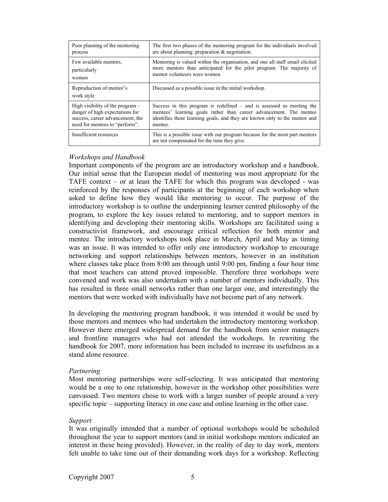| Poor planning of the mentoring         | The first two phases of the mentoring program for the individuals involved                                                 |  |
|----------------------------------------|----------------------------------------------------------------------------------------------------------------------------|--|
| process                                | are about planning: preparation $\&$ negotiation.                                                                          |  |
| Few available mentors,                 | Mentoring is valued within the organisation, and one all staff email elicited                                              |  |
| particularly                           | more mentors than anticipated for the pilot program. The majority of                                                       |  |
| women                                  | mentor volunteers were women.                                                                                              |  |
| Reproduction of mentor's<br>work style | Discussed as a possible issue in the initial workshop.                                                                     |  |
| High visibility of the program $-$     | Success in this program is redefined – and is assessed as meeting the                                                      |  |
| danger of high expectations for        | mentees' learning goals rather than career advancement. The mentee                                                         |  |
| success, career advancement, the       | identifies these learning goals, and they are known only to the mentor and                                                 |  |
| need for mentees to "perform".         | mentee.                                                                                                                    |  |
| Insufficient resources                 | This is a possible issue with our program because for the most part mentors<br>are not compensated for the time they give. |  |

## *Workshops and Handbook*

Important components of the program are an introductory workshop and a handbook. Our initial sense that the European model of mentoring was most appropriate for the TAFE context – or at least the TAFE for which this program was developed - was reinforced by the responses of participants at the beginning of each workshop when asked to define how they would like mentoring to occur. The purpose of the introductory workshop is to outline the underpinning learner centred philosophy of the program, to explore the key issues related to mentoring, and to support mentors in identifying and developing their mentoring skills. Workshops are facilitated using a constructivist framework, and encourage critical reflection for both mentor and mentee. The introductory workshops took place in March, April and May as timing was an issue. It was intended to offer only one introductory workshop to encourage networking and support relationships between mentors, however in an institution where classes take place from 8:00 am through until 9:00 pm, finding a four hour time that most teachers can attend proved impossible. Therefore three workshops were convened and work was also undertaken with a number of mentors individually. This has resulted in three small networks rather than one larger one, and interestingly the mentors that were worked with individually have not become part of any network.

In developing the mentoring program handbook, it was intended it would be used by those mentors and mentees who had undertaken the introductory mentoring workshop. However there emerged widespread demand for the handbook from senior managers and frontline managers who had not attended the workshops. In rewriting the handbook for 2007, more information has been included to increase its usefulness as a stand alone resource.

#### *Partnering*

Most mentoring partnerships were self-selecting. It was anticipated that mentoring would be a one to one relationship, however in the workshop other possibilities were canvassed. Two mentors chose to work with a larger number of people around a very specific topic – supporting literacy in one case and online learning in the other case.

#### *Support*

It was originally intended that a number of optional workshops would be scheduled throughout the year to support mentors (and in initial workshops mentors indicated an interest in these being provided). However, in the reality of day to day work, mentors felt unable to take time out of their demanding work days for a workshop. Reflecting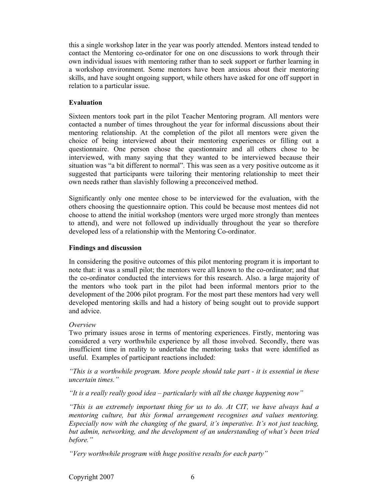this a single workshop later in the year was poorly attended. Mentors instead tended to contact the Mentoring co-ordinator for one on one discussions to work through their own individual issues with mentoring rather than to seek support or further learning in a workshop environment. Some mentors have been anxious about their mentoring skills, and have sought ongoing support, while others have asked for one off support in relation to a particular issue.

## **Evaluation**

Sixteen mentors took part in the pilot Teacher Mentoring program. All mentors were contacted a number of times throughout the year for informal discussions about their mentoring relationship. At the completion of the pilot all mentors were given the choice of being interviewed about their mentoring experiences or filling out a questionnaire. One person chose the questionnaire and all others chose to be interviewed, with many saying that they wanted to be interviewed because their situation was "a bit different to normal". This was seen as a very positive outcome as it suggested that participants were tailoring their mentoring relationship to meet their own needs rather than slavishly following a preconceived method.

Significantly only one mentee chose to be interviewed for the evaluation, with the others choosing the questionnaire option. This could be because most mentees did not choose to attend the initial workshop (mentors were urged more strongly than mentees to attend), and were not followed up individually throughout the year so therefore developed less of a relationship with the Mentoring Co-ordinator.

## **Findings and discussion**

In considering the positive outcomes of this pilot mentoring program it is important to note that: it was a small pilot; the mentors were all known to the co-ordinator; and that the co-ordinator conducted the interviews for this research. Also. a large majority of the mentors who took part in the pilot had been informal mentors prior to the development of the 2006 pilot program. For the most part these mentors had very well developed mentoring skills and had a history of being sought out to provide support and advice.

## *Overview*

Two primary issues arose in terms of mentoring experiences. Firstly, mentoring was considered a very worthwhile experience by all those involved. Secondly, there was insufficient time in reality to undertake the mentoring tasks that were identified as useful. Examples of participant reactions included:

*"This is a worthwhile program. More people should take part - it is essential in these uncertain times."* 

*"It is a really really good idea – particularly with all the change happening now"* 

*"This is an extremely important thing for us to do. At CIT, we have always had a mentoring culture, but this formal arrangement recognises and values mentoring. Especially now with the changing of the guard, it's imperative. It's not just teaching, but admin, networking, and the development of an understanding of what's been tried before."* 

*"Very worthwhile program with huge positive results for each party"*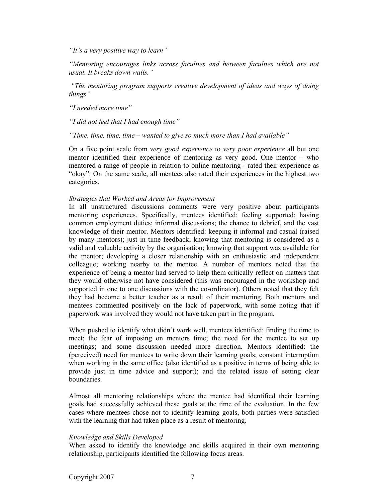*"It's a very positive way to learn"* 

*"Mentoring encourages links across faculties and between faculties which are not usual. It breaks down walls."* 

 *"The mentoring program supports creative development of ideas and ways of doing things"* 

*"I needed more time"* 

*"I did not feel that I had enough time"* 

*"Time, time, time, time – wanted to give so much more than I had available"* 

On a five point scale from *very good experience* to *very poor experience* all but one mentor identified their experience of mentoring as very good. One mentor – who mentored a range of people in relation to online mentoring - rated their experience as "okay". On the same scale, all mentees also rated their experiences in the highest two categories.

### *Strategies that Worked and Areas for Improvement*

In all unstructured discussions comments were very positive about participants mentoring experiences. Specifically, mentees identified: feeling supported; having common employment duties; informal discussions; the chance to debrief, and the vast knowledge of their mentor. Mentors identified: keeping it informal and casual (raised by many mentors); just in time feedback; knowing that mentoring is considered as a valid and valuable activity by the organisation; knowing that support was available for the mentor; developing a closer relationship with an enthusiastic and independent colleague; working nearby to the mentee. A number of mentors noted that the experience of being a mentor had served to help them critically reflect on matters that they would otherwise not have considered (this was encouraged in the workshop and supported in one to one discussions with the co-ordinator). Others noted that they felt they had become a better teacher as a result of their mentoring. Both mentors and mentees commented positively on the lack of paperwork, with some noting that if paperwork was involved they would not have taken part in the program.

When pushed to identify what didn't work well, mentees identified: finding the time to meet; the fear of imposing on mentors time; the need for the mentee to set up meetings; and some discussion needed more direction. Mentors identified: the (perceived) need for mentees to write down their learning goals; constant interruption when working in the same office (also identified as a positive in terms of being able to provide just in time advice and support); and the related issue of setting clear boundaries.

Almost all mentoring relationships where the mentee had identified their learning goals had successfully achieved these goals at the time of the evaluation. In the few cases where mentees chose not to identify learning goals, both parties were satisfied with the learning that had taken place as a result of mentoring.

## *Knowledge and Skills Developed*

When asked to identify the knowledge and skills acquired in their own mentoring relationship, participants identified the following focus areas.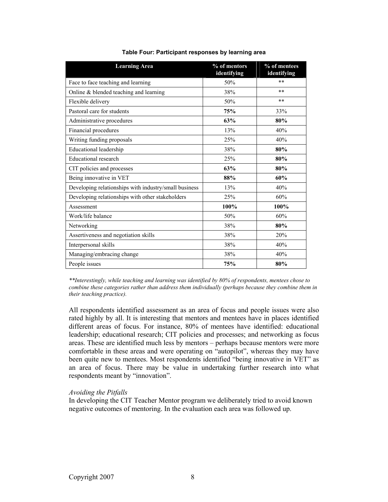| <b>Learning Area</b>                                  | % of mentors<br>identifying | % of mentees |
|-------------------------------------------------------|-----------------------------|--------------|
|                                                       |                             | identifying  |
| Face to face teaching and learning                    | 50%                         | $**$         |
| Online & blended teaching and learning                | 38%                         | $**$         |
| Flexible delivery                                     | 50%                         | $***$        |
| Pastoral care for students                            | 75%                         | 33%          |
| Administrative procedures                             | 63%                         | 80%          |
| Financial procedures                                  | 13%                         | 40%          |
| Writing funding proposals                             | 25%                         | 40%          |
| <b>Educational leadership</b>                         | 38%                         | 80%          |
| <b>Educational research</b>                           | 25%                         | 80%          |
| CIT policies and processes                            | 63%                         | 80%          |
| Being innovative in VET                               | 88%                         | 60%          |
| Developing relationships with industry/small business | 13%                         | 40%          |
| Developing relationships with other stakeholders      | 25%                         | 60%          |
| Assessment                                            | 100%                        | 100%         |
| Work/life balance                                     | 50%                         | 60%          |
| Networking                                            | 38%                         | 80%          |
| Assertiveness and negotiation skills                  | 38%                         | 20%          |
| Interpersonal skills                                  | 38%                         | 40%          |
| Managing/embracing change                             | 38%                         | 40%          |
| People issues                                         | 75%                         | 80%          |

**Table Four: Participant responses by learning area** 

*\*\*Interestingly, while teaching and learning was identified by 80% of respondents, mentees chose to combine these categories rather than address them individually (perhaps because they combine them in their teaching practice).* 

All respondents identified assessment as an area of focus and people issues were also rated highly by all. It is interesting that mentors and mentees have in places identified different areas of focus. For instance, 80% of mentees have identified: educational leadership; educational research; CIT policies and processes; and networking as focus areas. These are identified much less by mentors – perhaps because mentors were more comfortable in these areas and were operating on "autopilot", whereas they may have been quite new to mentees. Most respondents identified "being innovative in VET" as an area of focus. There may be value in undertaking further research into what respondents meant by "innovation".

### *Avoiding the Pitfalls*

In developing the CIT Teacher Mentor program we deliberately tried to avoid known negative outcomes of mentoring. In the evaluation each area was followed up.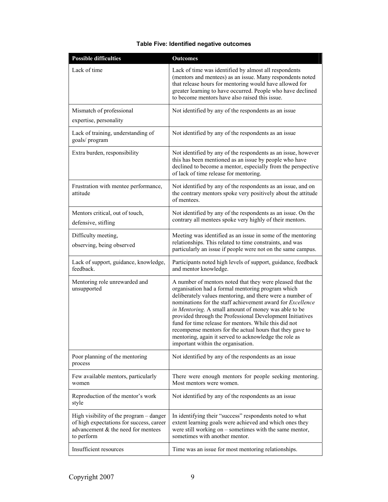| <b>Possible difficulties</b>                                                                                                            | <b>Outcomes</b>                                                                                                                                                                                                                                                                                                                                                                                                                                                                                                                                                                            |  |  |
|-----------------------------------------------------------------------------------------------------------------------------------------|--------------------------------------------------------------------------------------------------------------------------------------------------------------------------------------------------------------------------------------------------------------------------------------------------------------------------------------------------------------------------------------------------------------------------------------------------------------------------------------------------------------------------------------------------------------------------------------------|--|--|
| Lack of time                                                                                                                            | Lack of time was identified by almost all respondents<br>(mentors and mentees) as an issue. Many respondents noted<br>that release hours for mentoring would have allowed for<br>greater learning to have occurred. People who have declined<br>to become mentors have also raised this issue.                                                                                                                                                                                                                                                                                             |  |  |
| Mismatch of professional                                                                                                                | Not identified by any of the respondents as an issue                                                                                                                                                                                                                                                                                                                                                                                                                                                                                                                                       |  |  |
| expertise, personality                                                                                                                  |                                                                                                                                                                                                                                                                                                                                                                                                                                                                                                                                                                                            |  |  |
| Lack of training, understanding of<br>goals/program                                                                                     | Not identified by any of the respondents as an issue                                                                                                                                                                                                                                                                                                                                                                                                                                                                                                                                       |  |  |
| Extra burden, responsibility                                                                                                            | Not identified by any of the respondents as an issue, however<br>this has been mentioned as an issue by people who have<br>declined to become a mentor, especially from the perspective<br>of lack of time release for mentoring.                                                                                                                                                                                                                                                                                                                                                          |  |  |
| Frustration with mentee performance,<br>attitude                                                                                        | Not identified by any of the respondents as an issue, and on<br>the contrary mentors spoke very positively about the attitude<br>of mentees.                                                                                                                                                                                                                                                                                                                                                                                                                                               |  |  |
| Mentors critical, out of touch,<br>defensive, stifling                                                                                  | Not identified by any of the respondents as an issue. On the<br>contrary all mentees spoke very highly of their mentors.                                                                                                                                                                                                                                                                                                                                                                                                                                                                   |  |  |
| Difficulty meeting,                                                                                                                     | Meeting was identified as an issue in some of the mentoring                                                                                                                                                                                                                                                                                                                                                                                                                                                                                                                                |  |  |
| observing, being observed                                                                                                               | relationships. This related to time constraints, and was<br>particularly an issue if people were not on the same campus.                                                                                                                                                                                                                                                                                                                                                                                                                                                                   |  |  |
| Lack of support, guidance, knowledge,<br>feedback.                                                                                      | Participants noted high levels of support, guidance, feedback<br>and mentor knowledge.                                                                                                                                                                                                                                                                                                                                                                                                                                                                                                     |  |  |
| Mentoring role unrewarded and<br>unsupported                                                                                            | A number of mentors noted that they were pleased that the<br>organisation had a formal mentoring program which<br>deliberately values mentoring, and there were a number of<br>nominations for the staff achievement award for <i>Excellence</i><br>in Mentoring. A small amount of money was able to be<br>provided through the Professional Development Initiatives<br>fund for time release for mentors. While this did not<br>recompense mentors for the actual hours that they gave to<br>mentoring, again it served to acknowledge the role as<br>important within the organisation. |  |  |
| Poor planning of the mentoring<br>process                                                                                               | Not identified by any of the respondents as an issue                                                                                                                                                                                                                                                                                                                                                                                                                                                                                                                                       |  |  |
| Few available mentors, particularly<br>women                                                                                            | There were enough mentors for people seeking mentoring.<br>Most mentors were women.                                                                                                                                                                                                                                                                                                                                                                                                                                                                                                        |  |  |
| Reproduction of the mentor's work<br>style                                                                                              | Not identified by any of the respondents as an issue                                                                                                                                                                                                                                                                                                                                                                                                                                                                                                                                       |  |  |
| High visibility of the program - danger<br>of high expectations for success, career<br>advancement & the need for mentees<br>to perform | In identifying their "success" respondents noted to what<br>extent learning goals were achieved and which ones they<br>were still working on – sometimes with the same mentor,<br>sometimes with another mentor.                                                                                                                                                                                                                                                                                                                                                                           |  |  |
| Insufficient resources                                                                                                                  | Time was an issue for most mentoring relationships.                                                                                                                                                                                                                                                                                                                                                                                                                                                                                                                                        |  |  |

## **Table Five: Identified negative outcomes**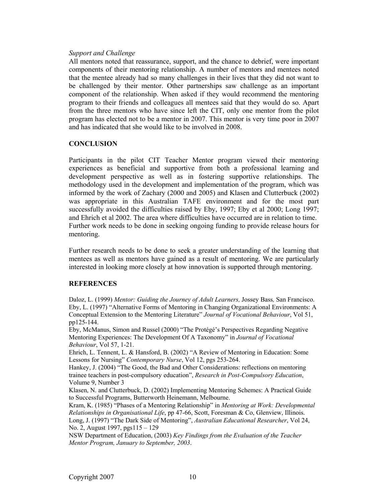## *Support and Challenge*

All mentors noted that reassurance, support, and the chance to debrief, were important components of their mentoring relationship. A number of mentors and mentees noted that the mentee already had so many challenges in their lives that they did not want to be challenged by their mentor. Other partnerships saw challenge as an important component of the relationship. When asked if they would recommend the mentoring program to their friends and colleagues all mentees said that they would do so. Apart from the three mentors who have since left the CIT, only one mentor from the pilot program has elected not to be a mentor in 2007. This mentor is very time poor in 2007 and has indicated that she would like to be involved in 2008.

### **CONCLUSION**

Participants in the pilot CIT Teacher Mentor program viewed their mentoring experiences as beneficial and supportive from both a professional learning and development perspective as well as in fostering supportive relationships. The methodology used in the development and implementation of the program, which was informed by the work of Zachary (2000 and 2005) and Klasen and Clutterbuck (2002) was appropriate in this Australian TAFE environment and for the most part successfully avoided the difficulties raised by Eby, 1997; Eby et al 2000; Long 1997; and Ehrich et al 2002. The area where difficulties have occurred are in relation to time. Further work needs to be done in seeking ongoing funding to provide release hours for mentoring.

Further research needs to be done to seek a greater understanding of the learning that mentees as well as mentors have gained as a result of mentoring. We are particularly interested in looking more closely at how innovation is supported through mentoring.

### **REFERENCES**

Daloz, L. (1999) *Mentor: Guiding the Journey of Adult Learners,* Jossey Bass*,* San Francisco. Eby, L. (1997) "Alternative Forms of Mentoring in Changing Organizational Environments: A Conceptual Extension to the Mentoring Literature" *Journal of Vocational Behaviour*, Vol 51, pp125-144.

Eby, McManus, Simon and Russel (2000) "The Protégé's Perspectives Regarding Negative Mentoring Experiences: The Development Of A Taxonomy" in *Journal of Vocational Behaviour*, Vol 57, 1-21.

Ehrich, L. Tennent, L. & Hansford, B. (2002) "A Review of Mentoring in Education: Some Lessons for Nursing" *Contemporary Nurse*, Vol 12, pgs 253-264.

Hankey, J. (2004) "The Good, the Bad and Other Considerations: reflections on mentoring trainee teachers in post-compulsory education", *Research in Post-Compulsory Education*, Volume 9, Number 3

Klasen, N. and Clutterbuck, D. (2002) Implementing Mentoring Schemes: A Practical Guide to Successful Programs, Butterworth Heinemann, Melbourne.

Kram, K. (1985) "Phases of a Mentoring Relationship" in *Mentoring at Work: Developmental Relationships in Organisational Life*, pp 47-66, Scott, Foresman & Co, Glenview, Illinois. Long, J. (1997) "The Dark Side of Mentoring", *Australian Educational Researcher*, Vol 24, No. 2, August 1997, pgs115 – 129

NSW Department of Education, (2003) *Key Findings from the Evaluation of the Teacher Mentor Program, January to September, 2003*.